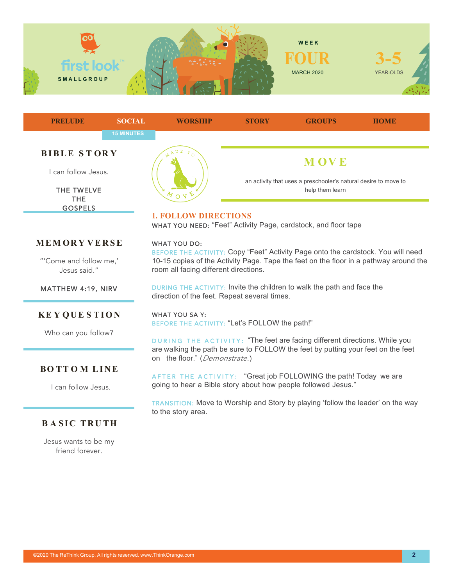



THE **GOSPELS** 

## **MEM OR Y VERSE**

"'Come and follow me,' Jesus said."

MATTHEW 4:19, NIRV

## **KE Y QUE S TION**

Who can you follow?

## **BO TT O M LINE**

I can follow Jesus.

# **BASIC TRUTH**

Jesus wants to be my friend forever.

# **1. FOLLOW DIRECTIONS**

WHAT YOU NEED: "Feet" Activity Page, cardstock, and floor tape

#### WHAT YOU DO:

BEFORE THE ACTIVITY: Copy "Feet" Activity Page onto the cardstock. You will need 10-15 copies of the Activity Page. Tape the feet on the floor in a pathway around the room all facing different directions.

DURING THE ACTIVITY: Invite the children to walk the path and face the direction of the feet. Repeat several times.

#### WHAT YOU SA Y:

BEFORE THE ACTIVITY: "Let's FOLLOW the path!"

DURING THE ACTIVITY: "The feet are facing different directions. While you are walking the path be sure to FOLLOW the feet by putting your feet on the feet on the floor." (*Demonstrate.*)

AFTER THE ACTIVITY: "Great job FOLLOWING the path! Today we are going to hear a Bible story about how people followed Jesus."

TRANSITION: Move to Worship and Story by playing 'follow the leader' on the way to the story area.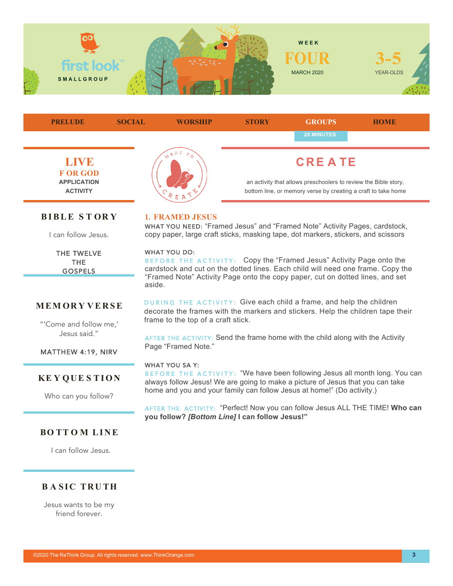



## **MEM OR Y VERSE**

"'Come and follow me,' Jesus said."

MATTHEW 4:19, NIRV

## **KE Y QUE S TION**

Who can you follow?

DURING THE ACTIVITY: Give each child a frame, and help the children decorate the frames with the markers and stickers. Help the children tape their frame to the top of a craft stick.

AFTER THE ACTIVITY: Send the frame home with the child along with the Activity Page "Framed Note."

#### WHAT YOU SA Y:

aside.

BEFORE THE ACTIVITY: "We have been following Jesus all month long. You can always follow Jesus! We are going to make a picture of Jesus that you can take home and you and your family can follow Jesus at home!" (Do activity.)

AFTER THE ACTIVITY: "Perfect! Now you can follow Jesus ALL THE TIME! **Who can you follow?** *[Bottom Line]* **I can follow Jesus!"**

## **BO TT O M LINE**

I can follow Jesus.

# **BASIC TRUTH**

Jesus wants to be my friend forever.